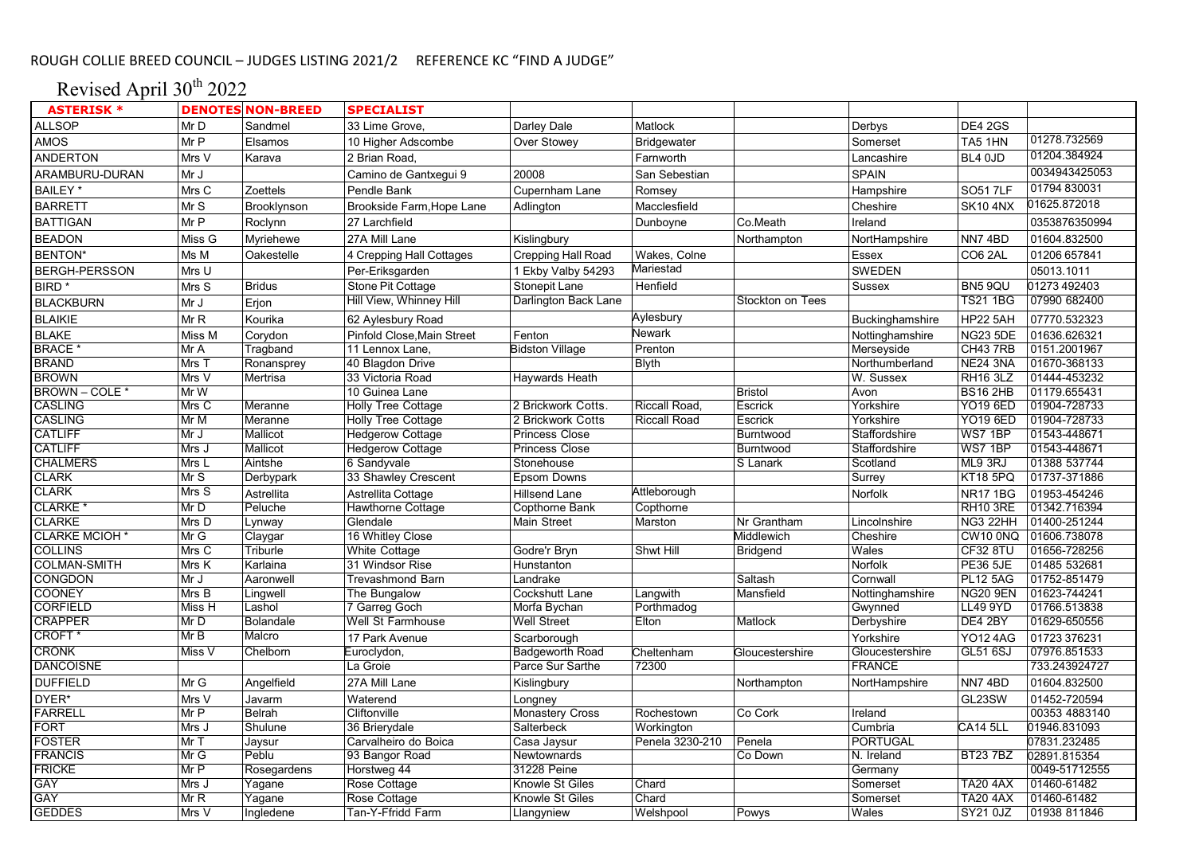# Revised April 30<sup>th</sup> 2022

| <b>ASTERISK *</b>                |              | <b>DENOTES NON-BREED</b>   | <b>SPECIALIST</b>          |                        |                     |                  |                 |                                    |                              |
|----------------------------------|--------------|----------------------------|----------------------------|------------------------|---------------------|------------------|-----------------|------------------------------------|------------------------------|
| <b>ALLSOP</b>                    | Mr D         | Sandmel                    | 33 Lime Grove,             | Darley Dale            | Matlock             |                  | Derbys          | <b>DE4 2GS</b>                     |                              |
| AMOS                             | Mr P         | Elsamos                    | 10 Higher Adscombe         | Over Stowey            | Bridgewater         |                  | Somerset        | TA5 1HN                            | 01278.732569                 |
| <b>ANDERTON</b>                  | Mrs V        | Karava                     | 2 Brian Road.              |                        | Farnworth           |                  | Lancashire      | BL4 0JD                            | 01204.384924                 |
| ARAMBURU-DURAN                   | Mr J         |                            | Camino de Gantxegui 9      | 20008                  | San Sebestian       |                  | <b>SPAIN</b>    |                                    | 0034943425053                |
| BAILEY <sup>*</sup>              | Mrs C        | Zoettels                   | Pendle Bank                | Cupernham Lane         | Romsey              |                  | Hampshire       | <b>SO51 7LF</b>                    | 01794 830031                 |
| <b>BARRETT</b>                   | MrS          | Brooklynson                | Brookside Farm, Hope Lane  | Adlington              | Macclesfield        |                  | Cheshire        | <b>SK10 4NX</b>                    | 01625.872018                 |
| <b>BATTIGAN</b>                  | Mr P         | Roclynn                    | 27 Larchfield              |                        | Dunboyne            | Co.Meath         | Ireland         |                                    | 0353876350994                |
| <b>BEADON</b>                    | Miss G       | Myriehewe                  | 27A Mill Lane              | Kislingbury            |                     | Northampton      | NortHampshire   | NN74BD                             | 01604.832500                 |
| <b>BENTON*</b>                   | Ms M         | Oakestelle                 | 4 Crepping Hall Cottages   | Crepping Hall Road     | Wakes, Colne        |                  | Essex           | CO6 2AL                            | 01206 657841                 |
| <b>BERGH-PERSSON</b>             | Mrs U        |                            | Per-Eriksgarden            | 1 Ekby Valby 54293     | Mariestad           |                  | <b>SWEDEN</b>   |                                    | 05013.1011                   |
| BIRD <sup>*</sup>                | Mrs S        | <b>Bridus</b>              | Stone Pit Cottage          | Stonepit Lane          | Henfield            |                  | Sussex          | BN5 9QU                            | 01273 492403                 |
| <b>BLACKBURN</b>                 | Mr J         | Erjon                      | Hill View, Whinney Hill    | Darlington Back Lane   |                     | Stockton on Tees |                 | <b>TS21 1BG</b>                    | 07990 682400                 |
| <b>BLAIKIE</b>                   | MrR          | Kourika                    | 62 Aylesbury Road          |                        | Aylesbury           |                  | Buckinghamshire | <b>HP22 5AH</b>                    | 07770.532323                 |
| <b>BLAKE</b>                     | Miss M       | Corydon                    | Pinfold Close, Main Street | Fenton                 | Newark              |                  | Nottinghamshire | <b>NG23 5DE</b>                    | 01636.626321                 |
| <b>BRACE</b>                     | Mr A         | Tragband                   | 11 Lennox Lane,            | <b>Bidston Village</b> | Prenton             |                  | Merseyside      | CH43 7RB                           | 0151.2001967                 |
| <b>BRAND</b>                     | Mrs T        | Ronansprey                 | 40 Blagdon Drive           |                        | <b>Blyth</b>        |                  | Northumberland  | <b>NE24 3NA</b>                    | 01670-368133                 |
| <b>BROWN</b>                     | Mrs V        | Mertrisa                   | 33 Victoria Road           | Haywards Heath         |                     |                  | W. Sussex       | <b>RH16 3LZ</b>                    | 01444-453232                 |
| BROWN - COLE *                   | Mr W         |                            | 10 Guinea Lane             |                        |                     | <b>Bristol</b>   | Avon            | <b>BS16 2HB</b>                    | 01179.655431                 |
| <b>CASLING</b>                   | Mrs C        | Meranne                    | <b>Holly Tree Cottage</b>  | 2 Brickwork Cotts.     | Riccall Road,       | Escrick          | Yorkshire       | <b>YO19 6ED</b>                    | 01904-728733                 |
| <b>CASLING</b>                   | MrM          | Meranne                    | <b>Holly Tree Cottage</b>  | 2 Brickwork Cotts      | <b>Riccall Road</b> | Escrick          | Yorkshire       | <b>YO19 6ED</b>                    | 01904-728733                 |
| <b>CATLIFF</b>                   | Mr J         | Mallicot                   | <b>Hedgerow Cottage</b>    | <b>Princess Close</b>  |                     | Burntwood        | Staffordshire   | WS7 1BP                            | 01543-448671                 |
| <b>CATLIFF</b>                   | Mrs J        | Mallicot                   | <b>Hedgerow Cottage</b>    | <b>Princess Close</b>  |                     | Burntwood        | Staffordshire   | WS7 1BP                            | 01543-448671                 |
| <b>CHALMERS</b>                  | Mrs L        | Aintshe                    | 6 Sandyvale                | Stonehouse             |                     | S Lanark         | Scotland        | ML9 3RJ                            | 01388 537744                 |
| <b>CLARK</b>                     | Mr S         | Derbypark                  | 33 Shawley Crescent        | Epsom Downs            |                     |                  | Surrey          | KT18 5PQ                           | 01737-371886                 |
| <b>CLARK</b>                     | Mrs S        |                            |                            |                        | Attleborough        |                  |                 |                                    |                              |
|                                  |              | Astrellita                 | Astrellita Cottage         | Hillsend Lane          |                     |                  | Norfolk         | <b>NR171BG</b>                     | 01953-454246                 |
| <b>CLARKE</b><br><b>CLARKE</b>   | MrD          | Peluche                    | <b>Hawthorne Cottage</b>   | Copthorne Bank         | Copthorne           |                  |                 | <b>RH10 3RE</b>                    | 01342.716394                 |
|                                  | Mrs D        | Lynway                     | Glendale                   | Main Street            | Marston             | Nr Grantham      | Lincolnshire    | NG3 22HH                           | 01400-251244                 |
| <b>CLARKE MCIOH *</b>            | MrG          | Claygar                    | 16 Whitley Close           |                        |                     | Middlewich       | Cheshire        | CW10 0NQ                           | 01606.738078                 |
| <b>COLLINS</b>                   | MrsC         | Triburle                   | <b>White Cottage</b>       | Godre'r Bryn           | Shwt Hill           | <b>Bridgend</b>  | Wales           | CF32 8TU                           | 01656-728256                 |
| <b>COLMAN-SMITH</b>              | Mrs K        | Karlaina                   | 31 Windsor Rise            | Hunstanton             |                     |                  | Norfolk         | <b>PE36 5JE</b>                    | 01485 532681                 |
| <b>CONGDON</b>                   | Mr J         | Aaronwell                  | <b>Trevashmond Barn</b>    | Landrake               |                     | Saltash          | Cornwall        | <b>PL12 5AG</b>                    | 01752-851479                 |
| <b>COONEY</b><br><b>CORFIELD</b> | Mrs B        | Lingwell                   | The Bungalow               | Cockshutt Lane         | Langwith            | Mansfield        | Nottinghamshire | <b>NG20 9EN</b><br><b>LL49 9YD</b> | 01623-744241<br>01766.513838 |
| <b>CRAPPER</b>                   | Miss H       | Lashol                     | 7 Garreg Goch              | Morfa Bychan           | Porthmadog          |                  | Gwynned         | DE4 2BY                            |                              |
| CROFT <sup>*</sup>               | Mr D<br>Mr B | <b>Bolandale</b><br>Malcro | Well St Farmhouse          | <b>Well Street</b>     | Elton               | Matlock          | Derbyshire      |                                    | 01629-650556                 |
|                                  |              |                            | 17 Park Avenue             | Scarborough            |                     |                  | Yorkshire       | <b>YO12 4AG</b>                    | 01723 376231                 |
| <b>CRONK</b>                     | MissV        | Chelborn                   | Euroclydon,                | Badgeworth Road        | Cheltenham          | Gloucestershire  | Gloucestershire | <b>GL51 6SJ</b>                    | 07976.851533                 |
| <b>DANCOISNE</b>                 |              |                            | La Groie                   | Parce Sur Sarthe       | 72300               |                  | <b>FRANCE</b>   |                                    | 733.243924727                |
| <b>DUFFIELD</b>                  | Mr G         | Angelfield                 | 27A Mill Lane              | Kislingbury            |                     | Northampton      | NortHampshire   | NN74BD                             | 01604.832500                 |
| DYER*                            | Mrs V        | Javarm                     | Waterend                   | Longney                |                     |                  |                 | GL23SW                             | 01452-720594                 |
| <b>FARRELL</b>                   | Mr P         | Belrah                     | Cliftonville               | <b>Monastery Cross</b> | Rochestown          | Co Cork          | Ireland         |                                    | 00353 4883140                |
| <b>FORT</b>                      | Mrs J        | Shulune                    | 36 Brierydale              | Salterbeck             | Workington          |                  | Cumbria         | <b>CA14 5LL</b>                    | 01946.831093                 |
| <b>FOSTER</b>                    | Mr T         | Jaysur                     | Carvalheiro do Boica       | Casa Jaysur            | Penela 3230-210     | Penela           | <b>PORTUGAL</b> |                                    | 07831.232485                 |
| <b>FRANCIS</b>                   | Mr G         | Peblu                      | 93 Bangor Road             | Newtownards            |                     | Co Down          | N. Ireland      | <b>BT237BZ</b>                     | 02891.815354                 |
| <b>FRICKE</b>                    | MrP          | Rosegardens                | Horstweg 44                | 31228 Peine            |                     |                  | Germany         |                                    | 0049-51712555                |
| <b>GAY</b>                       | Mrs J        | Yagane                     | Rose Cottage               | Knowle St Giles        | Chard               |                  | Somerset        | <b>TA20 4AX</b>                    | 01460-61482                  |
| <b>GAY</b>                       | MrR          | Yagane                     | Rose Cottage               | Knowle St Giles        | Chard               |                  | Somerset        | <b>TA20 4AX</b>                    | 01460-61482                  |
| <b>GEDDES</b>                    | Mrs V        | Ingledene                  | Tan-Y-Ffridd Farm          | Llangyniew             | Welshpool           | Powys            | Wales           | SY21 0JZ                           | 01938 811846                 |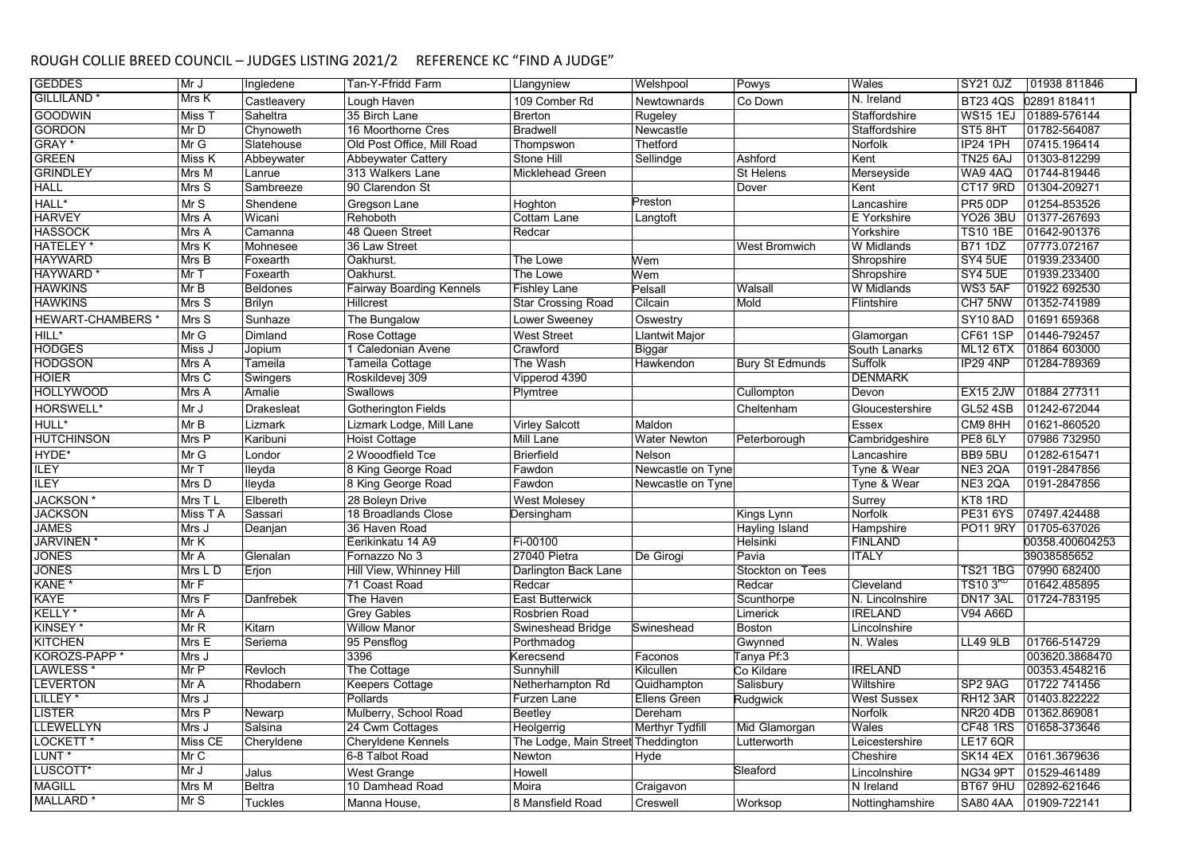| <b>GEDDES</b>                | Mr J     | Ingledene         | Tan-Y-Ffridd Farm               | Llangyniew                         | Welshpool           | Powys                  | Wales              | SY21 0JZ             | 01938 811846          |
|------------------------------|----------|-------------------|---------------------------------|------------------------------------|---------------------|------------------------|--------------------|----------------------|-----------------------|
| <b>GILLILAND</b>             | Mrs K    | Castleavery       | Lough Haven                     | 109 Comber Rd                      | <b>Newtownards</b>  | Co Down                | N. Ireland         | <b>BT23 4QS</b>      | 02891818411           |
| <b>GOODWIN</b>               | Miss T   | Saheltra          | 35 Birch Lane                   | <b>Brerton</b>                     | Rugeley             |                        | Staffordshire      |                      | WS15 1EJ 01889-576144 |
| <b>GORDON</b>                | MrD      | Chynoweth         | 16 Moorthorne Cres              | <b>Bradwell</b>                    | Newcastle           |                        | Staffordshire      | ST5 8HT              | 01782-564087          |
| GRAY <sup>*</sup>            | MrG      | Slatehouse        | Old Post Office, Mill Road      | Thompswon                          | Thetford            |                        | Norfolk            | <b>IP24 1PH</b>      | 07415.196414          |
| <b>GREEN</b>                 | Miss K   | Abbeywater        | <b>Abbeywater Cattery</b>       | Stone Hill                         | Sellindge           | Ashford                | Kent               | <b>TN25 6AJ</b>      | 01303-812299          |
| <b>GRINDLEY</b>              | Mrs M    | Lanrue            | 313 Walkers Lane                | Micklehead Green                   |                     | St Helens              | Merseyside         | WA9 4AQ              | 01744-819446          |
| <b>HALL</b>                  | Mrs S    | Sambreeze         | 90 Clarendon St                 |                                    |                     | Dover                  | Kent               | <b>CT17 9RD</b>      | 01304-209271          |
| HALL*                        | Mr S     | Shendene          | Gregson Lane                    | Hoghton                            | Preston             |                        | Lancashire         | PR5 0DP              | 01254-853526          |
| <b>HARVEY</b>                | Mrs A    | Wicani            | Rehoboth                        | Cottam Lane                        | Langtoft            |                        | E Yorkshire        | <b>YO26 3BU</b>      | 01377-267693          |
| <b>HASSOCK</b>               | Mrs A    | Camanna           | 48 Queen Street                 | Redcar                             |                     |                        | Yorkshire          | <b>TS10 1BE</b>      | 01642-901376          |
| <b>HATELEY</b>               | Mrs K    | Mohnesee          | 36 Law Street                   |                                    |                     | West Bromwich          | W Midlands         | <b>B71 1DZ</b>       | 07773.072167          |
| <b>HAYWARD</b>               | Mrs B    | Foxearth          | Oakhurst                        | The Lowe                           | Wem                 |                        | Shropshire         | SY4 5UE              | 01939.233400          |
| HAYWARD <sup>*</sup>         | Mr T     | Foxearth          | Oakhurst                        | The Lowe                           | Wem                 |                        | Shropshire         | SY4 5UE              | 01939.233400          |
| <b>HAWKINS</b>               | MrB      | <b>Beldones</b>   | <b>Fairway Boarding Kennels</b> | <b>Fishley Lane</b>                | Pelsall             | Walsall                | W Midlands         | WS3 5AF              | 01922 692530          |
| <b>HAWKINS</b>               | Mrs S    | <b>Brilyn</b>     | Hillcrest                       | <b>Star Crossing Road</b>          | Cilcain             | Mold                   | Flintshire         | CH7 5NW              | 01352-741989          |
| HEWART-CHAMBERS <sup>*</sup> | Mrs S    | Sunhaze           | The Bungalow                    | Lower Sweeney                      | Oswestry            |                        |                    | <b>SY10 8AD</b>      | 01691 659368          |
| HILL*                        | Mr G     | Dimland           | Rose Cottage                    | West Street                        | Llantwit Major      |                        | Glamorgan          | CF611SP              | 01446-792457          |
| <b>HODGES</b>                | Miss J   | Jopium            | 1 Caledonian Avene              | Crawford                           | Biggar              |                        | South Lanarks      | <b>ML12 6TX</b>      | 01864 603000          |
| <b>HODGSON</b>               | Mrs A    | Tameila           | Tameila Cottage                 | The Wash                           | Hawkendon           | <b>Bury St Edmunds</b> | Suffolk            | IP29 4NP             | 01284-789369          |
| <b>HOIER</b>                 | Mrs C    | Swingers          | Roskildevej 309                 | Vipperod 4390                      |                     |                        | <b>DENMARK</b>     |                      |                       |
| <b>HOLLYWOOD</b>             | Mrs A    | Amalie            | <b>Swallows</b>                 | Plymtree                           |                     | Cullompton             | Devon              | <b>EX15 2JW</b>      | 01884 277311          |
| HORSWELL*                    | Mr J     | <b>Drakesleat</b> | <b>Gotherington Fields</b>      |                                    |                     | Cheltenham             | Gloucestershire    | <b>GL52 4SB</b>      | 01242-672044          |
| HULL*                        | MrB      | Lizmark           | Lizmark Lodge, Mill Lane        | Virley Salcott                     | Maldon              |                        | Essex              | CM9 8HH              | 01621-860520          |
| <b>HUTCHINSON</b>            | Mrs P    | Karibuni          | <b>Hoist Cottage</b>            | Mill Lane                          | Water Newton        | Peterborough           | Cambridgeshire     | PE8 6LY              | 07986 732950          |
| HYDE*                        | Mr G     | Londor            | 2 Wooodfield Tce                | <b>Brierfield</b>                  | Nelson              |                        | Lancashire         | BB95BU               | 01282-615471          |
| <b>ILEY</b>                  | Mr T     | lleyda            | 8 King George Road              | Fawdon                             | Newcastle on Tyne   |                        | Tyne & Wear        | NE3 2QA              | 0191-2847856          |
| <b>ILEY</b>                  | Mrs D    | lleyda            | 8 King George Road              | Fawdon                             | Newcastle on Tyne   |                        | Tyne & Wear        | NE3 2QA              | 0191-2847856          |
| JACKSON*                     | Mrs T L  | Elbereth          | 28 Boleyn Drive                 | <b>West Molesey</b>                |                     |                        | Surrey             | KT8 1RD              |                       |
| <b>JACKSON</b>               | Miss T A | Sassari           | 18 Broadlands Close             | Dersingham                         |                     | Kings Lynn             | <b>Norfolk</b>     | <b>PE31 6YS</b>      | 07497.424488          |
| <b>JAMES</b>                 | Mrs J    | Deanjan           | 36 Haven Road                   |                                    |                     | Hayling Island         | Hampshire          | PO11 9RY             | 01705-637026          |
| <b>JARVINEN*</b>             | MrK      |                   | Eerikinkatu 14 A9               | Fi-00100                           |                     | Helsinki               | <b>FINLAND</b>     |                      | 00358.400604253       |
| <b>JONES</b>                 | Mr A     | Glenalan          | Fornazzo No 3                   | 27040 Pietra                       | De Girogi           | Pavia                  | <b>ITALY</b>       |                      | 39038585652           |
| <b>JONES</b>                 | Mrs L D  | Erjon             | Hill View, Whinney Hill         | Darlington Back Lane               |                     | Stockton on Tees       |                    | <b>TS21 1BG</b>      | 07990 682400          |
| KANE *                       | MrF      |                   | 71 Coast Road                   | Redcar                             |                     | Redcar                 | Cleveland          | TS10.3 <sup>KD</sup> | 01642.485895          |
| <b>KAYE</b>                  | Mrs F    | Danfrebek         | The Haven                       | <b>East Butterwick</b>             |                     | Scunthorpe             | N. Lincolnshire    | DN17 3AL             | 01724-783195          |
| KELLY <sup>*</sup>           | MrA      |                   | <b>Grey Gables</b>              | Rosbrien Road                      |                     | Limerick               | <b>IRELAND</b>     | V94 A66D             |                       |
| KINSEY*                      | MrR      | Kitarn            | <b>Willow Manor</b>             | Swineshead Bridge                  | Swineshead          | <b>Boston</b>          | Lincolnshire       |                      |                       |
| <b>KITCHEN</b>               | Mrs E    | Seriema           | 95 Pensflog                     | Porthmadog                         |                     | Gwynned                | N. Wales           | <b>LL49 9LB</b>      | 01766-514729          |
| KOROZS-PAPP <sup>*</sup>     | Mrs J    |                   | 3396                            | Kerecsend                          | Faconos             | Tanya Pf:3             |                    |                      | 003620.3868470        |
| LAWLESS <sup>'</sup>         | Mr P     | Revloch           | The Cottage                     | Sunnyhill                          | Kilcullen           | Co Kildare             | <b>IRELAND</b>     |                      | 00353.4548216         |
| <b>LEVERTON</b>              | Mr A     | Rhodabern         | Keepers Cottage                 | Netherhampton Rd                   | Quidhampton         | Salisbury              | Wiltshire          | SP <sub>2</sub> 9AG  | 01722 741456          |
| LILLEY*                      | Mrs J    |                   | Pollards                        | Furzen Lane                        | <b>Ellens Green</b> | Rudgwick               | <b>West Sussex</b> | RH12 3AR             | 01403.822222          |
| LISTER                       | Mrs P    | Newarp            | Mulberry, School Road           | Beetley                            | Dereham             |                        | Norfolk            | <b>NR20 4DB</b>      | 01362.869081          |
| <b>LEWELLYN</b>              | Mrs J    | Salsina           | 24 Cwm Cottages                 | Heolgerrig                         | Merthyr Tydfill     | Mid Glamorgan          | Wales              | <b>CF48 1RS</b>      | 01658-373646          |
| LOCKETT <sup>*</sup>         | Miss CE  | Cheryldene        | Cheryldene Kennels              | The Lodge, Main Street Theddington |                     | Lutterworth            | Leicestershire     | <b>LE17 6QR</b>      |                       |
| LUNT <sup>*</sup>            | Mr C     |                   | 6-8 Talbot Road                 | Newton                             | Hyde                |                        | Cheshire           | <b>SK14 4EX</b>      | 0161.3679636          |
| LUSCOTT*                     | MrJ      | Jalus             | West Grange                     | Howell                             |                     | Sleaford               | Lincolnshire       | NG34 9PT             | 01529-461489          |
| <b>MAGILL</b>                | Mrs M    | <b>Beltra</b>     | 10 Damhead Road                 | Moira                              | Craigavon           |                        | N Ireland          | BT67 9HU             | 02892-621646          |
| MALLARD <sup>*</sup>         | Mr S     | <b>Tuckles</b>    | Manna House.                    | 8 Mansfield Road                   | Creswell            | Worksop                | Nottinghamshire    | <b>SA80 4AA</b>      | 01909-722141          |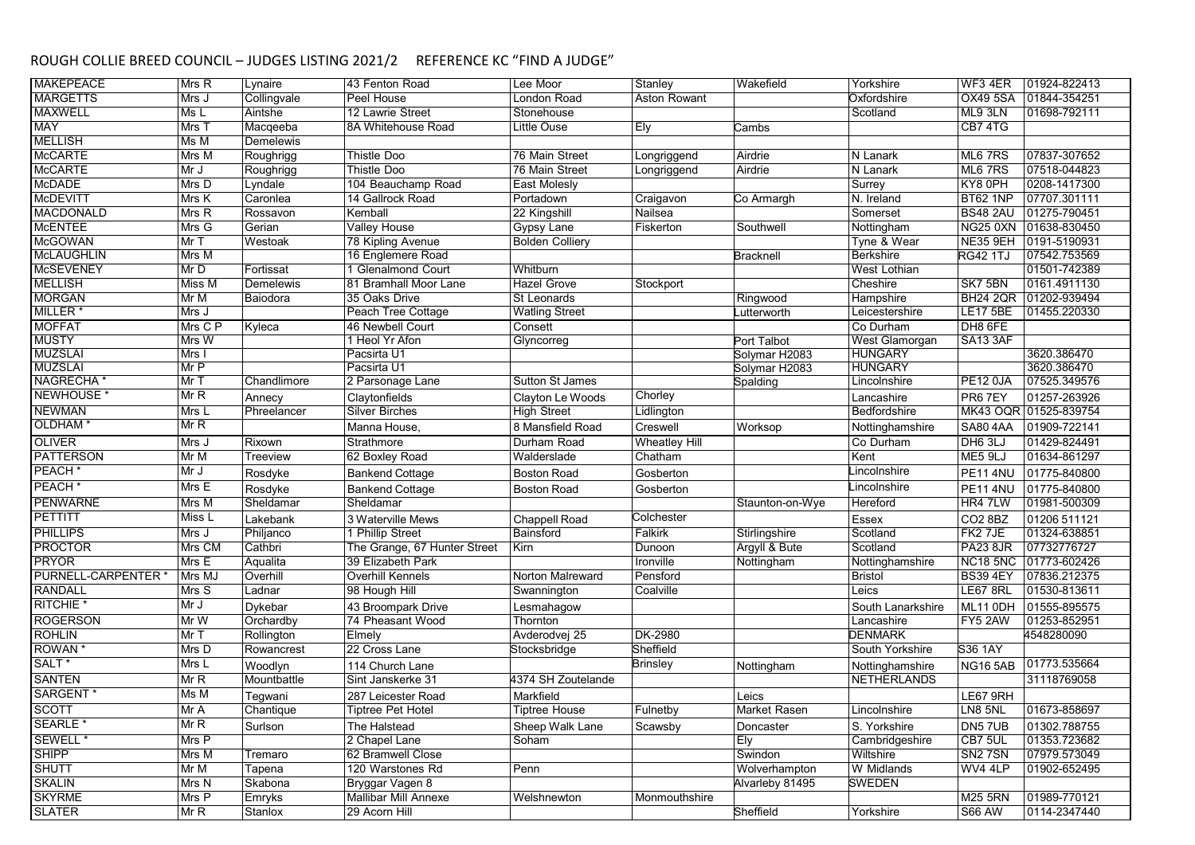| <b>MAKEPEACE</b>      | Mrs R                     | Lynaire          | 43 Fenton Road               | Lee Moor               | Stanley              | Wakefield        | Yorkshire          | $\overline{\text{WF3}}$ 4ER | 01924-822413          |
|-----------------------|---------------------------|------------------|------------------------------|------------------------|----------------------|------------------|--------------------|-----------------------------|-----------------------|
| <b>MARGETTS</b>       | Mrs J                     | Collingvale      | Peel House                   | London Road            | <b>Aston Rowant</b>  |                  | Oxfordshire        | OX49 5SA                    | 01844-354251          |
| <b>MAXWELL</b>        | Ms L                      | Aintshe          | 12 Lawrie Street             | Stonehouse             |                      |                  | Scotland           | ML9 3LN                     | 01698-792111          |
| <b>MAY</b>            | Mrs T                     | Macqeeba         | 8A Whitehouse Road           | Little Ouse            | Ely                  | Cambs            |                    | CB7 4TG                     |                       |
| <b>MELLISH</b>        | Ms M                      | <b>Demelewis</b> |                              |                        |                      |                  |                    |                             |                       |
| <b>McCARTE</b>        | Mrs M                     | Roughrigg        | <b>Thistle Doo</b>           | 76 Main Street         | Longriggend          | Airdrie          | N Lanark           | ML6 7RS                     | 07837-307652          |
| <b>McCARTE</b>        | Mr J                      | Roughrigg        | Thistle Doo                  | 76 Main Street         | Longriggend          | Airdrie          | N Lanark           | ML6 7RS                     | 07518-044823          |
| <b>McDADE</b>         | Mrs D                     | Lyndale          | 104 Beauchamp Road           | East Molesly           |                      |                  | Surrey             | KY8 0PH                     | 0208-1417300          |
| <b>McDEVITT</b>       | Mrs K                     | Caronlea         | 14 Gallrock Road             | Portadown              | Craigavon            | Co Armargh       | N. Ireland         | <b>BT62 1NP</b>             | 07707.301111          |
| <b>MACDONALD</b>      | Mrs R                     | Rossavon         | Kemball                      | 22 Kingshill           | Nailsea              |                  | Somerset           | <b>BS48 2AU</b>             | 01275-790451          |
| <b>McENTEE</b>        | Mrs G                     | Gerian           | <b>Valley House</b>          | Gypsy Lane             | Fiskerton            | Southwell        | Nottingham         | <b>NG25 0XN</b>             | 01638-830450          |
| <b>McGOWAN</b>        | Mr T                      | Westoak          | 78 Kipling Avenue            | <b>Bolden Colliery</b> |                      |                  | Tyne & Wear        | NE35 9EH                    | 0191-5190931          |
| <b>McLAUGHLIN</b>     | Mrs M                     |                  | 16 Englemere Road            |                        |                      | <b>Bracknell</b> | <b>Berkshire</b>   | <b>RG42 1TJ</b>             | 07542.753569          |
| <b>McSEVENEY</b>      | Mr D                      | Fortissat        | 1 Glenalmond Court           | Whitburn               |                      |                  | West Lothian       |                             | 01501-742389          |
| <b>MELLISH</b>        | Miss M                    | Demelewis        | 81 Bramhall Moor Lane        | <b>Hazel Grove</b>     | Stockport            |                  | Cheshire           | SK7 5BN                     | 0161.4911130          |
| <b>MORGAN</b>         | Mr M                      | Baiodora         | 35 Oaks Drive                | <b>St Leonards</b>     |                      | Ringwood         | Hampshire          | <b>BH24 2QR</b>             | 01202-939494          |
| MILLER <sup>*</sup>   | Mrs J                     |                  | Peach Tree Cottage           | <b>Watling Street</b>  |                      | utterworth.      | Leicestershire     | <b>LE17 5BE</b>             | 01455.220330          |
| <b>MOFFAT</b>         | Mrs C P                   | Kyleca           | 46 Newbell Court             | Consett                |                      |                  | Co Durham          | DH8 6FE                     |                       |
| <b>MUSTY</b>          | Mrs W                     |                  | 1 Heol Yr Afon               | Glyncorreg             |                      | Port Talbot      | West Glamorgan     | SA13 3AF                    |                       |
| <b>MUZSLAI</b>        | Mrs I                     |                  | Pacsirta U1                  |                        |                      | Solymar H2083    | <b>HUNGARY</b>     |                             | 3620.386470           |
| <b>MUZSLAI</b>        | Mr P                      |                  | Pacsirta U1                  |                        |                      | Solymar H2083    | <b>HUNGARY</b>     |                             | 3620.386470           |
| NAGRECHA <sup>*</sup> | Mr T                      | Chandlimore      | 2 Parsonage Lane             | <b>Sutton St James</b> |                      | Spalding         | Lincolnshire       | <b>PE12 0JA</b>             | 07525.349576          |
| NEWHOUSE *            | $\overline{\mathsf{MrR}}$ | Annecy           | Claytonfields                | Clayton Le Woods       | Chorley              |                  | Lancashire         | PR67EY                      | 01257-263926          |
| <b>NEWMAN</b>         | Mrs L                     | Phreelancer      | <b>Silver Birches</b>        | <b>High Street</b>     | Lidlington           |                  | Bedfordshire       |                             | MK43 OQR 01525-839754 |
| OLDHAM <sup>*</sup>   | Mr R                      |                  | Manna House,                 | 8 Mansfield Road       | Creswell             | Worksop          | Nottinghamshire    | <b>SA80 4AA</b>             | 01909-722141          |
| <b>OLIVER</b>         | Mrs J                     | Rixown           | Strathmore                   | Durham Road            | <b>Wheatley Hill</b> |                  | Co Durham          | DH6 3LJ                     | 01429-824491          |
| <b>PATTERSON</b>      | Mr M                      | Treeview         | 62 Boxley Road               | Walderslade            | Chatham              |                  | Kent               | ME5 9LJ                     | 01634-861297          |
| PEACH <sup>*</sup>    | Mr J                      | Rosdyke          | <b>Bankend Cottage</b>       | <b>Boston Road</b>     | Gosberton            |                  | Lincolnshire       | <b>PE11 4NU</b>             | 01775-840800          |
| PEACH <sup>*</sup>    | Mrs E                     | Rosdyke          | <b>Bankend Cottage</b>       | <b>Boston Road</b>     | Gosberton            |                  | Lincolnshire       | <b>PE11 4NU</b>             | 01775-840800          |
| <b>PENWARNE</b>       | Mrs M                     | Sheldamar        | Sheldamar                    |                        |                      | Staunton-on-Wye  | Hereford           | HR4 7LW                     | 01981-500309          |
| PETTITT               | Miss L                    | Lakebank         | 3 Waterville Mews            | <b>Chappell Road</b>   | Colchester           |                  | Essex              | CO2 8BZ                     | 01206 511121          |
| <b>PHILLIPS</b>       | Mrs J                     | Philjanco        | 1 Phillip Street             | Bainsford              | Falkirk              | Stirlingshire    | Scotland           | FK2 7JE                     | 01324-638851          |
| <b>PROCTOR</b>        | Mrs CM                    | Cathbri          | The Grange, 67 Hunter Street | Kirn                   | Dunoon               | Argyll & Bute    | Scotland           | <b>PA23 8JR</b>             | 07732776727           |
| <b>PRYOR</b>          | MrsE                      | Aqualita         | 39 Elizabeth Park            |                        | Ironville            | Nottingham       | Nottinghamshire    | <b>NC18 5NC</b>             | 01773-602426          |
| PURNELL-CARPENTER     | Mrs MJ                    | Overhill         | <b>Overhill Kennels</b>      | Norton Malreward       | Pensford             |                  | <b>Bristol</b>     | <b>BS39 4EY</b>             | 07836.212375          |
| <b>RANDALL</b>        | Mrs S                     | Ladnar           | 98 Hough Hill                | Swannington            | Coalville            |                  | Leics              | <b>LE67 8RL</b>             | 01530-813611          |
| RITCHIE <sup>*</sup>  | Mr J                      | Dykebar          | 43 Broompark Drive           |                        |                      |                  | South Lanarkshire  | ML11 0DH                    | 01555-895575          |
| <b>ROGERSON</b>       | MrW                       | Orchardby        | 74 Pheasant Wood             | Lesmahagow<br>Thornton |                      |                  | Lancashire         | FY5 2AW                     | 01253-852951          |
| <b>ROHLIN</b>         | Mr T                      | Rollington       | Elmely                       | Avderodvej 25          | DK-2980              |                  | <b>DENMARK</b>     |                             | 4548280090            |
| <b>ROWAN</b>          | Mrs D                     | Rowancrest       | 22 Cross Lane                | Stocksbridge           | Sheffield            |                  | South Yorkshire    | S36 1AY                     |                       |
| SALT <sup>*</sup>     | Mrs L                     |                  |                              |                        |                      |                  |                    |                             | 01773.535664          |
|                       |                           | Woodlyn          | 114 Church Lane              |                        | <b>Brinsley</b>      | Nottingham       | Nottinghamshire    | <b>NG165AB</b>              |                       |
| <b>SANTEN</b>         | Mr <sub>R</sub>           | Mountbattle      | Sint Janskerke 31            | 4374 SH Zoutelande     |                      |                  | <b>NETHERLANDS</b> |                             | 31118769058           |
| SARGENT <sup>*</sup>  | MsM                       | Tegwani          | 287 Leicester Road           | Markfield              |                      | Leics            |                    | LE67 9RH                    |                       |
| <b>SCOTT</b>          | Mr A                      | Chantique        | <b>Tiptree Pet Hotel</b>     | <b>Tiptree House</b>   | Fulnetby             | Market Rasen     | Lincolnshire       | LN8 5NL                     | 01673-858697          |
| SEARLE <sup>*</sup>   | MrR                       | Surlson          | The Halstead                 | Sheep Walk Lane        | Scawsby              | Doncaster        | S. Yorkshire       | DN57UB                      | 01302.788755          |
| SEWELL *              | Mrs P                     |                  | 2 Chapel Lane                | Soham                  |                      | Ely              | Cambridgeshire     | CB7 5UL                     | 01353.723682          |
| <b>SHIPP</b>          | Mrs M                     | Tremaro          | 62 Bramwell Close            |                        |                      | Swindon          | Wiltshire          | SN <sub>2</sub> 7SN         | 07979.573049          |
| <b>SHUTT</b>          | Mr M                      | Tapena           | 120 Warstones Rd             | Penn                   |                      | Wolverhampton    | W Midlands         | WV4 4LP                     | 01902-652495          |
| <b>SKALIN</b>         | Mrs N                     | Skabona          | Bryggar Vagen 8              |                        |                      | Alvarleby 81495  | <b>SWEDEN</b>      |                             |                       |
| <b>SKYRME</b>         | Mrs P                     | Emryks           | Mallibar Mill Annexe         | Welshnewton            | Monmouthshire        |                  |                    | <b>M25 5RN</b>              | 01989-770121          |
| <b>SLATER</b>         | Mr R                      | Stanlox          | 29 Acorn Hill                |                        |                      | Sheffield        | Yorkshire          | <b>S66 AW</b>               | 0114-2347440          |